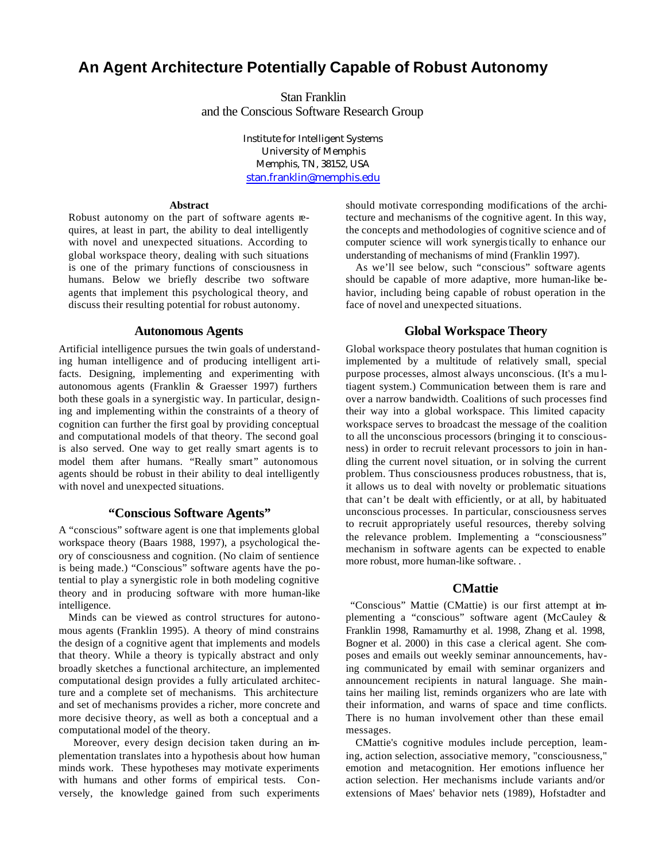# **An Agent Architecture Potentially Capable of Robust Autonomy**

Stan Franklin and the Conscious Software Research Group

> Institute for Intelligent Systems University of Memphis Memphis, TN, 38152, USA stan.franklin@memphis.edu

#### **Abstract**

Robust autonomy on the part of software agents requires, at least in part, the ability to deal intelligently with novel and unexpected situations. According to global workspace theory, dealing with such situations is one of the primary functions of consciousness in humans. Below we briefly describe two software agents that implement this psychological theory, and discuss their resulting potential for robust autonomy.

## **Autonomous Agents**

Artificial intelligence pursues the twin goals of understanding human intelligence and of producing intelligent artifacts. Designing, implementing and experimenting with autonomous agents (Franklin & Graesser 1997) furthers both these goals in a synergistic way. In particular, designing and implementing within the constraints of a theory of cognition can further the first goal by providing conceptual and computational models of that theory. The second goal is also served. One way to get really smart agents is to model them after humans. "Really smart" autonomous agents should be robust in their ability to deal intelligently with novel and unexpected situations.

## **"Conscious Software Agents"**

A "conscious" software agent is one that implements global workspace theory (Baars 1988, 1997), a psychological theory of consciousness and cognition. (No claim of sentience is being made.) "Conscious" software agents have the potential to play a synergistic role in both modeling cognitive theory and in producing software with more human-like intelligence.

Minds can be viewed as control structures for autonomous agents (Franklin 1995). A theory of mind constrains the design of a cognitive agent that implements and models that theory. While a theory is typically abstract and only broadly sketches a functional architecture, an implemented computational design provides a fully articulated architecture and a complete set of mechanisms. This architecture and set of mechanisms provides a richer, more concrete and more decisive theory, as well as both a conceptual and a computational model of the theory.

 Moreover, every design decision taken during an implementation translates into a hypothesis about how human minds work. These hypotheses may motivate experiments with humans and other forms of empirical tests. Conversely, the knowledge gained from such experiments should motivate corresponding modifications of the architecture and mechanisms of the cognitive agent. In this way, the concepts and methodologies of cognitive science and of computer science will work synergistically to enhance our understanding of mechanisms of mind (Franklin 1997).

As we'll see below, such "conscious" software agents should be capable of more adaptive, more human-like behavior, including being capable of robust operation in the face of novel and unexpected situations.

## **Global Workspace Theory**

Global workspace theory postulates that human cognition is implemented by a multitude of relatively small, special purpose processes, almost always unconscious. (It's a mu ltiagent system.) Communication between them is rare and over a narrow bandwidth. Coalitions of such processes find their way into a global workspace. This limited capacity workspace serves to broadcast the message of the coalition to all the unconscious processors (bringing it to consciousness) in order to recruit relevant processors to join in handling the current novel situation, or in solving the current problem. Thus consciousness produces robustness, that is, it allows us to deal with novelty or problematic situations that can't be dealt with efficiently, or at all, by habituated unconscious processes. In particular, consciousness serves to recruit appropriately useful resources, thereby solving the relevance problem. Implementing a "consciousness" mechanism in software agents can be expected to enable more robust, more human-like software. .

## **CMattie**

 "Conscious" Mattie (CMattie) is our first attempt at implementing a "conscious" software agent (McCauley & Franklin 1998, Ramamurthy et al. 1998, Zhang et al. 1998, Bogner et al. 2000) in this case a clerical agent. She composes and emails out weekly seminar announcements, having communicated by email with seminar organizers and announcement recipients in natural language. She maintains her mailing list, reminds organizers who are late with their information, and warns of space and time conflicts. There is no human involvement other than these email messages.

CMattie's cognitive modules include perception, learning, action selection, associative memory, "consciousness," emotion and metacognition. Her emotions influence her action selection. Her mechanisms include variants and/or extensions of Maes' behavior nets (1989), Hofstadter and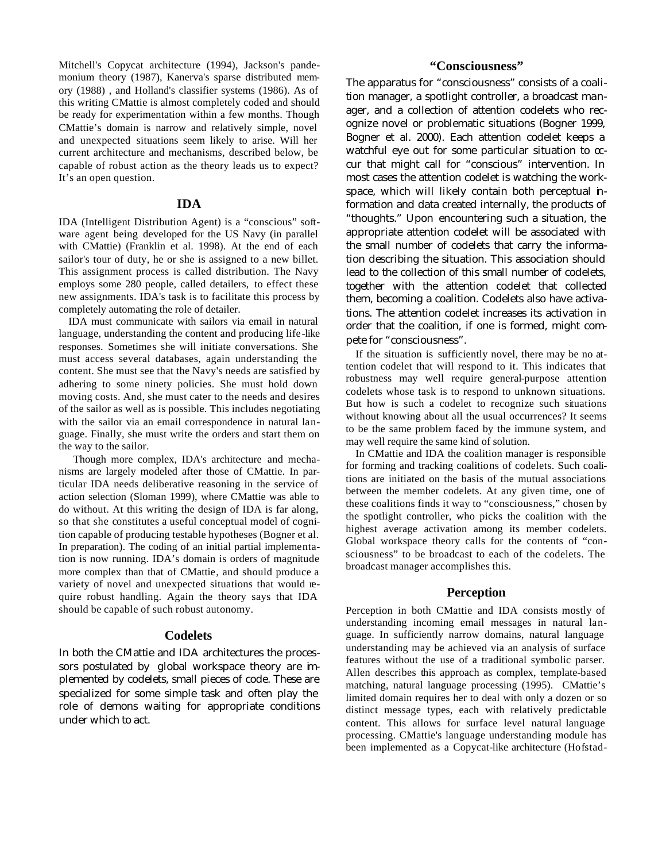Mitchell's Copycat architecture (1994), Jackson's pandemonium theory (1987), Kanerva's sparse distributed memory (1988) , and Holland's classifier systems (1986). As of this writing CMattie is almost completely coded and should be ready for experimentation within a few months. Though CMattie's domain is narrow and relatively simple, novel and unexpected situations seem likely to arise. Will her current architecture and mechanisms, described below, be capable of robust action as the theory leads us to expect? It's an open question.

#### **IDA**

IDA (Intelligent Distribution Agent) is a "conscious" software agent being developed for the US Navy (in parallel with CMattie) (Franklin et al. 1998). At the end of each sailor's tour of duty, he or she is assigned to a new billet. This assignment process is called distribution. The Navy employs some 280 people, called detailers, to effect these new assignments. IDA's task is to facilitate this process by completely automating the role of detailer.

IDA must communicate with sailors via email in natural language, understanding the content and producing life-like responses. Sometimes she will initiate conversations. She must access several databases, again understanding the content. She must see that the Navy's needs are satisfied by adhering to some ninety policies. She must hold down moving costs. And, she must cater to the needs and desires of the sailor as well as is possible. This includes negotiating with the sailor via an email correspondence in natural language. Finally, she must write the orders and start them on the way to the sailor.

 Though more complex, IDA's architecture and mechanisms are largely modeled after those of CMattie. In particular IDA needs deliberative reasoning in the service of action selection (Sloman 1999), where CMattie was able to do without. At this writing the design of IDA is far along, so that she constitutes a useful conceptual model of cognition capable of producing testable hypotheses (Bogner et al. In preparation). The coding of an initial partial implementation is now running. IDA's domain is orders of magnitude more complex than that of CMattie, and should produce a variety of novel and unexpected situations that would require robust handling. Again the theory says that IDA should be capable of such robust autonomy.

#### **Codelets**

In both the CMattie and IDA architectures the processors postulated by global workspace theory are implemented by codelets, small pieces of code. These are specialized for some simple task and often play the role of demons waiting for appropriate conditions under which to act.

# **"Consciousness"**

The apparatus for "consciousness" consists of a coalition manager, a spotlight controller, a broadcast manager, and a collection of attention codelets who recognize novel or problematic situations (Bogner 1999, Bogner et al. 2000). Each attention codelet keeps a watchful eye out for some particular situation to  $\alpha$ cur that might call for "conscious" intervention. In most cases the attention codelet is watching the workspace, which will likely contain both perceptual information and data created internally, the products of "thoughts." Upon encountering such a situation, the appropriate attention codelet will be associated with the small number of codelets that carry the information describing the situation. This association should lead to the collection of this small number of codelets, together with the attention codelet that collected them, becoming a coalition. Codelets also have activations. The attention codelet increases its activation in order that the coalition, if one is formed, might compete for "consciousness".

If the situation is sufficiently novel, there may be no attention codelet that will respond to it. This indicates that robustness may well require general-purpose attention codelets whose task is to respond to unknown situations. But how is such a codelet to recognize such situations without knowing about all the usual occurrences? It seems to be the same problem faced by the immune system, and may well require the same kind of solution.

In CMattie and IDA the coalition manager is responsible for forming and tracking coalitions of codelets. Such coalitions are initiated on the basis of the mutual associations between the member codelets. At any given time, one of these coalitions finds it way to "consciousness," chosen by the spotlight controller, who picks the coalition with the highest average activation among its member codelets. Global workspace theory calls for the contents of "consciousness" to be broadcast to each of the codelets. The broadcast manager accomplishes this.

## **Perception**

Perception in both CMattie and IDA consists mostly of understanding incoming email messages in natural language. In sufficiently narrow domains, natural language understanding may be achieved via an analysis of surface features without the use of a traditional symbolic parser. Allen describes this approach as complex, template-based matching, natural language processing (1995). CMattie's limited domain requires her to deal with only a dozen or so distinct message types, each with relatively predictable content. This allows for surface level natural language processing. CMattie's language understanding module has been implemented as a Copycat-like architecture (Hofstad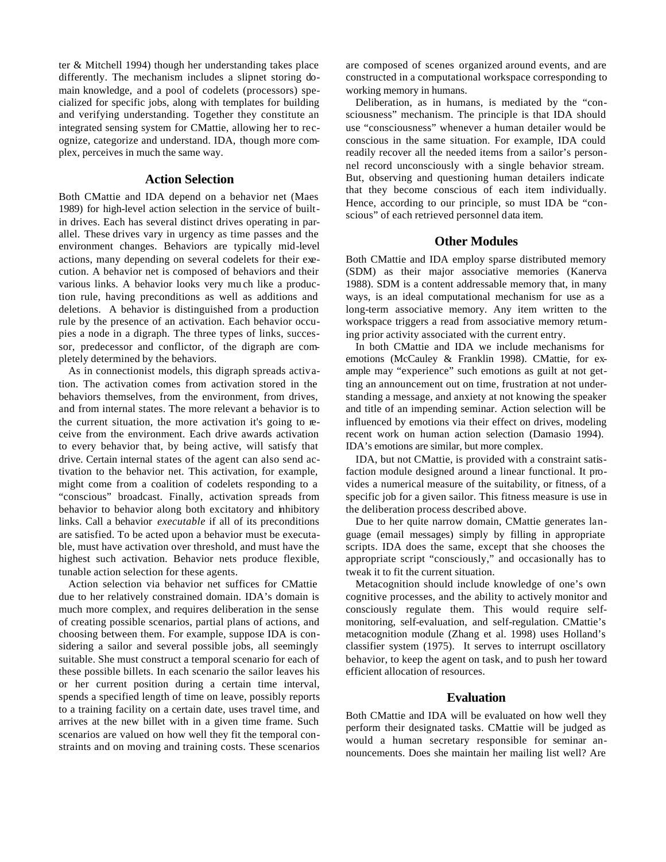ter & Mitchell 1994) though her understanding takes place differently. The mechanism includes a slipnet storing domain knowledge, and a pool of codelets (processors) specialized for specific jobs, along with templates for building and verifying understanding. Together they constitute an integrated sensing system for CMattie, allowing her to recognize, categorize and understand. IDA, though more complex, perceives in much the same way.

## **Action Selection**

Both CMattie and IDA depend on a behavior net (Maes 1989) for high-level action selection in the service of builtin drives. Each has several distinct drives operating in parallel. These drives vary in urgency as time passes and the environment changes. Behaviors are typically mid-level actions, many depending on several codelets for their execution. A behavior net is composed of behaviors and their various links. A behavior looks very mu ch like a production rule, having preconditions as well as additions and deletions. A behavior is distinguished from a production rule by the presence of an activation. Each behavior occupies a node in a digraph. The three types of links, successor, predecessor and conflictor, of the digraph are completely determined by the behaviors.

As in connectionist models, this digraph spreads activation. The activation comes from activation stored in the behaviors themselves, from the environment, from drives, and from internal states. The more relevant a behavior is to the current situation, the more activation it's going to receive from the environment. Each drive awards activation to every behavior that, by being active, will satisfy that drive. Certain internal states of the agent can also send activation to the behavior net. This activation, for example, might come from a coalition of codelets responding to a "conscious" broadcast. Finally, activation spreads from behavior to behavior along both excitatory and inhibitory links. Call a behavior *executable* if all of its preconditions are satisfied. To be acted upon a behavior must be executable, must have activation over threshold, and must have the highest such activation. Behavior nets produce flexible, tunable action selection for these agents.

Action selection via behavior net suffices for CMattie due to her relatively constrained domain. IDA's domain is much more complex, and requires deliberation in the sense of creating possible scenarios, partial plans of actions, and choosing between them. For example, suppose IDA is considering a sailor and several possible jobs, all seemingly suitable. She must construct a temporal scenario for each of these possible billets. In each scenario the sailor leaves his or her current position during a certain time interval, spends a specified length of time on leave, possibly reports to a training facility on a certain date, uses travel time, and arrives at the new billet with in a given time frame. Such scenarios are valued on how well they fit the temporal constraints and on moving and training costs. These scenarios are composed of scenes organized around events, and are constructed in a computational workspace corresponding to working memory in humans.

Deliberation, as in humans, is mediated by the "consciousness" mechanism. The principle is that IDA should use "consciousness" whenever a human detailer would be conscious in the same situation. For example, IDA could readily recover all the needed items from a sailor's personnel record unconsciously with a single behavior stream. But, observing and questioning human detailers indicate that they become conscious of each item individually. Hence, according to our principle, so must IDA be "conscious" of each retrieved personnel data item.

## **Other Modules**

Both CMattie and IDA employ sparse distributed memory (SDM) as their major associative memories (Kanerva 1988). SDM is a content addressable memory that, in many ways, is an ideal computational mechanism for use as a long-term associative memory. Any item written to the workspace triggers a read from associative memory returning prior activity associated with the current entry.

In both CMattie and IDA we include mechanisms for emotions (McCauley & Franklin 1998). CMattie, for example may "experience" such emotions as guilt at not getting an announcement out on time, frustration at not understanding a message, and anxiety at not knowing the speaker and title of an impending seminar. Action selection will be influenced by emotions via their effect on drives, modeling recent work on human action selection (Damasio 1994). IDA's emotions are similar, but more complex.

IDA, but not CMattie, is provided with a constraint satisfaction module designed around a linear functional. It provides a numerical measure of the suitability, or fitness, of a specific job for a given sailor. This fitness measure is use in the deliberation process described above.

Due to her quite narrow domain, CMattie generates language (email messages) simply by filling in appropriate scripts. IDA does the same, except that she chooses the appropriate script "consciously," and occasionally has to tweak it to fit the current situation.

Metacognition should include knowledge of one's own cognitive processes, and the ability to actively monitor and consciously regulate them. This would require selfmonitoring, self-evaluation, and self-regulation. CMattie's metacognition module (Zhang et al. 1998) uses Holland's classifier system (1975). It serves to interrupt oscillatory behavior, to keep the agent on task, and to push her toward efficient allocation of resources.

## **Evaluation**

Both CMattie and IDA will be evaluated on how well they perform their designated tasks. CMattie will be judged as would a human secretary responsible for seminar announcements. Does she maintain her mailing list well? Are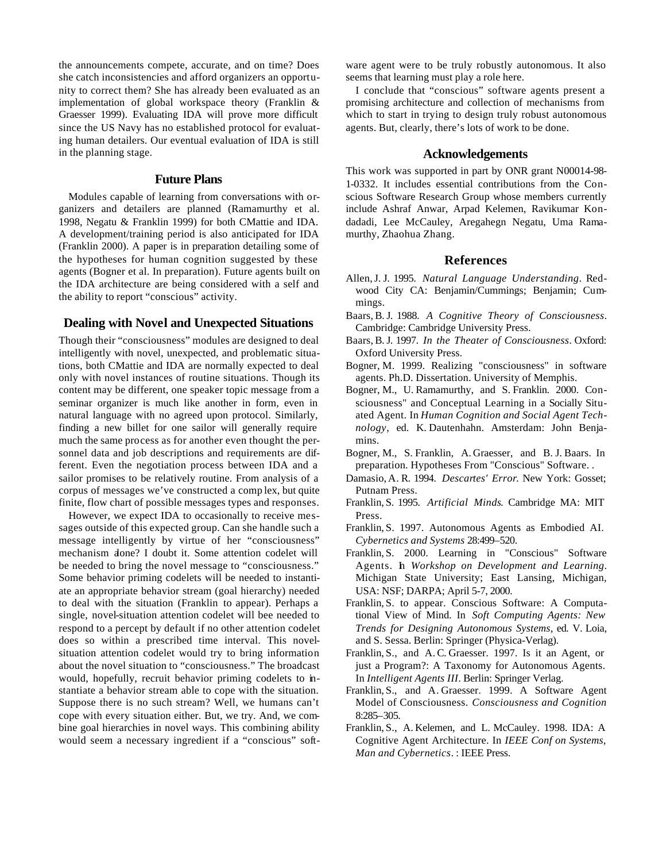the announcements compete, accurate, and on time? Does she catch inconsistencies and afford organizers an opportunity to correct them? She has already been evaluated as an implementation of global workspace theory (Franklin & Graesser 1999). Evaluating IDA will prove more difficult since the US Navy has no established protocol for evaluating human detailers. Our eventual evaluation of IDA is still in the planning stage.

## **Future Plans**

Modules capable of learning from conversations with organizers and detailers are planned (Ramamurthy et al. 1998, Negatu & Franklin 1999) for both CMattie and IDA. A development/training period is also anticipated for IDA (Franklin 2000). A paper is in preparation detailing some of the hypotheses for human cognition suggested by these agents (Bogner et al. In preparation). Future agents built on the IDA architecture are being considered with a self and the ability to report "conscious" activity.

## **Dealing with Novel and Unexpected Situations**

Though their "consciousness" modules are designed to deal intelligently with novel, unexpected, and problematic situations, both CMattie and IDA are normally expected to deal only with novel instances of routine situations. Though its content may be different, one speaker topic message from a seminar organizer is much like another in form, even in natural language with no agreed upon protocol. Similarly, finding a new billet for one sailor will generally require much the same process as for another even thought the personnel data and job descriptions and requirements are different. Even the negotiation process between IDA and a sailor promises to be relatively routine. From analysis of a corpus of messages we've constructed a comp lex, but quite finite, flow chart of possible messages types and responses.

However, we expect IDA to occasionally to receive messages outside of this expected group. Can she handle such a message intelligently by virtue of her "consciousness" mechanism alone? I doubt it. Some attention codelet will be needed to bring the novel message to "consciousness." Some behavior priming codelets will be needed to instantiate an appropriate behavior stream (goal hierarchy) needed to deal with the situation (Franklin to appear). Perhaps a single, novel-situation attention codelet will bee needed to respond to a percept by default if no other attention codelet does so within a prescribed time interval. This novelsituation attention codelet would try to bring information about the novel situation to "consciousness." The broadcast would, hopefully, recruit behavior priming codelets to instantiate a behavior stream able to cope with the situation. Suppose there is no such stream? Well, we humans can't cope with every situation either. But, we try. And, we combine goal hierarchies in novel ways. This combining ability would seem a necessary ingredient if a "conscious" software agent were to be truly robustly autonomous. It also seems that learning must play a role here.

I conclude that "conscious" software agents present a promising architecture and collection of mechanisms from which to start in trying to design truly robust autonomous agents. But, clearly, there's lots of work to be done.

#### **Acknowledgements**

This work was supported in part by ONR grant N00014-98- 1-0332. It includes essential contributions from the Conscious Software Research Group whose members currently include Ashraf Anwar, Arpad Kelemen, Ravikumar Kondadadi, Lee McCauley, Aregahegn Negatu, Uma Ramamurthy, Zhaohua Zhang.

## **References**

- Allen,J. J. 1995. *Natural Language Understanding*. Redwood City CA: Benjamin/Cummings; Benjamin; Cummings.
- Baars, B. J. 1988. *A Cognitive Theory of Consciousness*. Cambridge: Cambridge University Press.
- Baars, B. J. 1997. *In the Theater of Consciousness*. Oxford: Oxford University Press.
- Bogner, M. 1999. Realizing "consciousness" in software agents. Ph.D. Dissertation. University of Memphis.
- Bogner, M., U. Ramamurthy, and S. Franklin. 2000. Consciousness" and Conceptual Learning in a Socially Situated Agent. In *Human Cognition and Social Agent Technology*, ed. K. Dautenhahn. Amsterdam: John Benjamins.
- Bogner, M., S. Franklin, A. Graesser, and B. J. Baars. In preparation. Hypotheses From "Conscious" Software. .
- Damasio, A. R. 1994. *Descartes' Error*. New York: Gosset; Putnam Press.
- Franklin, S. 1995. *Artificial Minds*. Cambridge MA: MIT Press.
- Franklin, S. 1997. Autonomous Agents as Embodied AI. *Cybernetics and Systems* 28:499–520.
- Franklin, S. 2000. Learning in "Conscious" Software Agents. In *Workshop on Development and Learning*. Michigan State University; East Lansing, Michigan, USA: NSF; DARPA; April 5-7, 2000.
- Franklin, S. to appear. Conscious Software: A Computational View of Mind. In *Soft Computing Agents: New Trends for Designing Autonomous Systems*, ed. V. Loia, and S. Sessa. Berlin: Springer (Physica-Verlag).
- Franklin, S., and A. C. Graesser. 1997. Is it an Agent, or just a Program?: A Taxonomy for Autonomous Agents. In *Intelligent Agents III*. Berlin: Springer Verlag.
- Franklin, S., and A. Graesser. 1999. A Software Agent Model of Consciousness. *Consciousness and Cognition* 8:285–305.
- Franklin, S., A. Kelemen, and L. McCauley. 1998. IDA: A Cognitive Agent Architecture. In *IEEE Conf on Systems, Man and Cybernetics*. : IEEE Press.